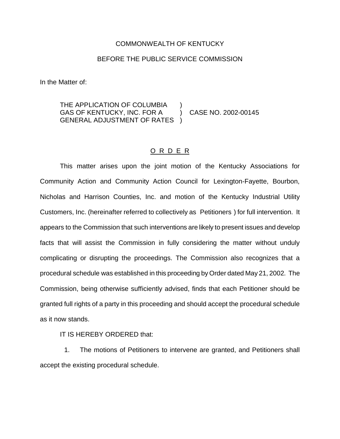## COMMONWEALTH OF KENTUCKY

## BEFORE THE PUBLIC SERVICE COMMISSION

In the Matter of:

## THE APPLICATION OF COLUMBIA GAS OF KENTUCKY, INC. FOR A ) CASE NO. 2002-00145 GENERAL ADJUSTMENT OF RATES )

## O R D E R

This matter arises upon the joint motion of the Kentucky Associations for Community Action and Community Action Council for Lexington-Fayette, Bourbon, Nicholas and Harrison Counties, Inc. and motion of the Kentucky Industrial Utility Customers, Inc. (hereinafter referred to collectively as Petitioners ) for full intervention. It appears to the Commission that such interventions are likely to present issues and develop facts that will assist the Commission in fully considering the matter without unduly complicating or disrupting the proceedings. The Commission also recognizes that a procedural schedule was established in this proceeding by Order dated May 21, 2002. The Commission, being otherwise sufficiently advised, finds that each Petitioner should be granted full rights of a party in this proceeding and should accept the procedural schedule as it now stands.

IT IS HEREBY ORDERED that:

1. The motions of Petitioners to intervene are granted, and Petitioners shall accept the existing procedural schedule.